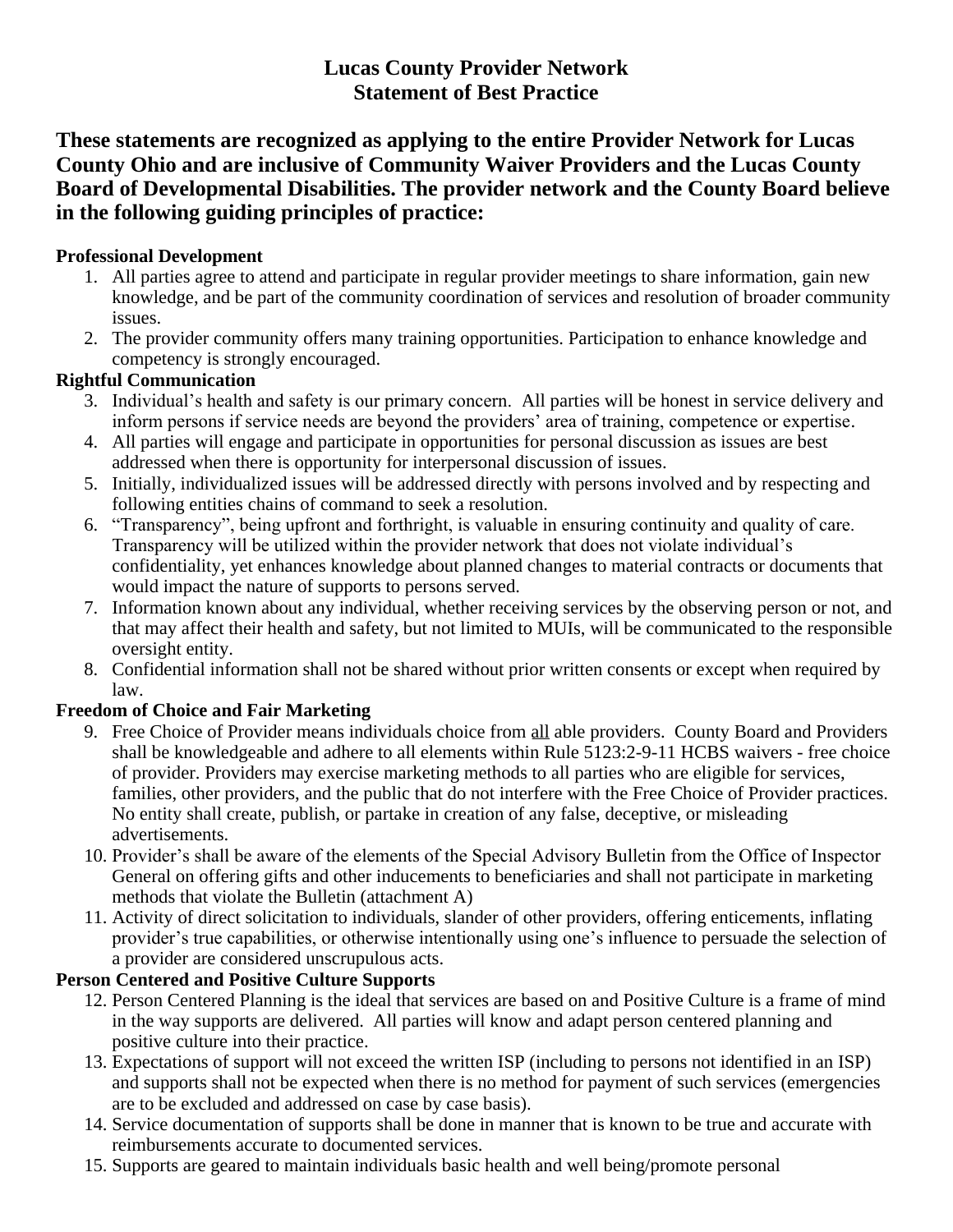# **Lucas County Provider Network Statement of Best Practice**

**These statements are recognized as applying to the entire Provider Network for Lucas County Ohio and are inclusive of Community Waiver Providers and the Lucas County Board of Developmental Disabilities. The provider network and the County Board believe in the following guiding principles of practice:**

# **Professional Development**

- 1. All parties agree to attend and participate in regular provider meetings to share information, gain new knowledge, and be part of the community coordination of services and resolution of broader community issues.
- 2. The provider community offers many training opportunities. Participation to enhance knowledge and competency is strongly encouraged.

### **Rightful Communication**

- 3. Individual's health and safety is our primary concern. All parties will be honest in service delivery and inform persons if service needs are beyond the providers' area of training, competence or expertise.
- 4. All parties will engage and participate in opportunities for personal discussion as issues are best addressed when there is opportunity for interpersonal discussion of issues.
- 5. Initially, individualized issues will be addressed directly with persons involved and by respecting and following entities chains of command to seek a resolution.
- 6. "Transparency", being upfront and forthright, is valuable in ensuring continuity and quality of care. Transparency will be utilized within the provider network that does not violate individual's confidentiality, yet enhances knowledge about planned changes to material contracts or documents that would impact the nature of supports to persons served.
- 7. Information known about any individual, whether receiving services by the observing person or not, and that may affect their health and safety, but not limited to MUIs, will be communicated to the responsible oversight entity.
- 8. Confidential information shall not be shared without prior written consents or except when required by law.

# **Freedom of Choice and Fair Marketing**

- 9. Free Choice of Provider means individuals choice from all able providers. County Board and Providers shall be knowledgeable and adhere to all elements within Rule 5123:2-9-11 HCBS waivers - free choice of provider. Providers may exercise marketing methods to all parties who are eligible for services, families, other providers, and the public that do not interfere with the Free Choice of Provider practices. No entity shall create, publish, or partake in creation of any false, deceptive, or misleading advertisements.
- 10. Provider's shall be aware of the elements of the Special Advisory Bulletin from the Office of Inspector General on offering gifts and other inducements to beneficiaries and shall not participate in marketing methods that violate the Bulletin (attachment A)
- 11. Activity of direct solicitation to individuals, slander of other providers, offering enticements, inflating provider's true capabilities, or otherwise intentionally using one's influence to persuade the selection of a provider are considered unscrupulous acts.

#### **Person Centered and Positive Culture Supports**

- 12. Person Centered Planning is the ideal that services are based on and Positive Culture is a frame of mind in the way supports are delivered. All parties will know and adapt person centered planning and positive culture into their practice.
- 13. Expectations of support will not exceed the written ISP (including to persons not identified in an ISP) and supports shall not be expected when there is no method for payment of such services (emergencies are to be excluded and addressed on case by case basis).
- 14. Service documentation of supports shall be done in manner that is known to be true and accurate with reimbursements accurate to documented services.
- 15. Supports are geared to maintain individuals basic health and well being/promote personal